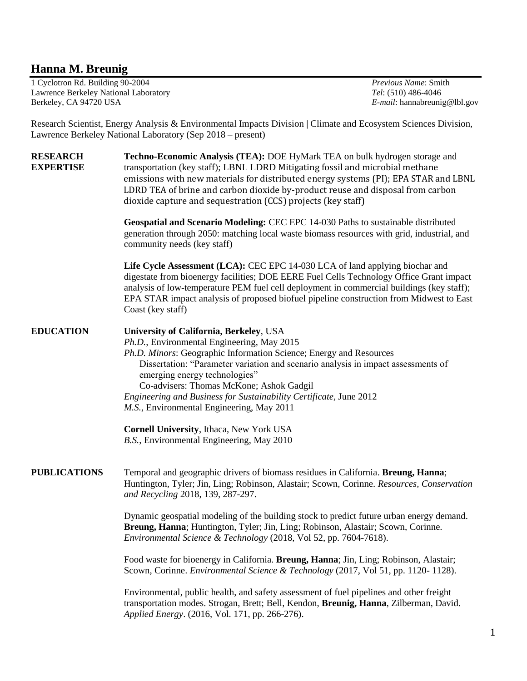## **Hanna M. Breunig**

1 Cyclotron Rd. Building 90-2004 *Previous Name*: Smith Lawrence Berkeley National Laboratory *Tel*: (510) 486-4046 Berkeley, CA 94720 USA *E-mail*: hannabreunig@lbl.gov

Research Scientist, Energy Analysis & Environmental Impacts Division | Climate and Ecosystem Sciences Division, Lawrence Berkeley National Laboratory (Sep 2018 – present)

**RESEARCH Techno-Economic Analysis (TEA):** DOE HyMark TEA on bulk hydrogen storage and **EXPERTISE** transportation (key staff); LBNL LDRD Mitigating fossil and microbial methane emissions with new materials for distributed energy systems (PI); EPA STAR and LBNL LDRD TEA of brine and carbon dioxide by-product reuse and disposal from carbon dioxide capture and sequestration (CCS) projects (key staff) **Geospatial and Scenario Modeling:** CEC EPC 14-030 Paths to sustainable distributed generation through 2050: matching local waste biomass resources with grid, industrial, and community needs (key staff) **Life Cycle Assessment (LCA):** CEC EPC 14-030 LCA of land applying biochar and digestate from bioenergy facilities; DOE EERE Fuel Cells Technology Office Grant impact analysis of low-temperature PEM fuel cell deployment in commercial buildings (key staff); EPA STAR impact analysis of proposed biofuel pipeline construction from Midwest to East Coast (key staff) **EDUCATION University of California, Berkeley**, USA *Ph.D.*, Environmental Engineering, May 2015 *Ph.D. Minors*: Geographic Information Science; Energy and Resources Dissertation: "Parameter variation and scenario analysis in impact assessments of emerging energy technologies" Co-advisers: Thomas McKone; Ashok Gadgil *Engineering and Business for Sustainability Certificate,* June 2012 *M.S.*, Environmental Engineering, May 2011 **Cornell University**, Ithaca, New York USA *B.S.*, Environmental Engineering, May 2010 **PUBLICATIONS** Temporal and geographic drivers of biomass residues in California. **Breung, Hanna**; Huntington, Tyler; Jin, Ling; Robinson, Alastair; Scown, Corinne. *Resources, Conservation and Recycling* 2018, 139, 287-297. Dynamic geospatial modeling of the building stock to predict future urban energy demand. **Breung, Hanna**; Huntington, Tyler; Jin, Ling; Robinson, Alastair; Scown, Corinne. *Environmental Science & Technology* (2018, Vol 52, pp. 7604-7618). Food waste for bioenergy in California. **Breung, Hanna**; Jin, Ling; Robinson, Alastair; Scown, Corinne. *Environmental Science & Technology* (2017, Vol 51, pp. 1120- 1128). Environmental, public health, and safety assessment of fuel pipelines and other freight transportation modes. Strogan, Brett; Bell, Kendon, **Breunig, Hanna**, Zilberman, David. *Applied Energy*. (2016, Vol. 171, pp. 266-276).